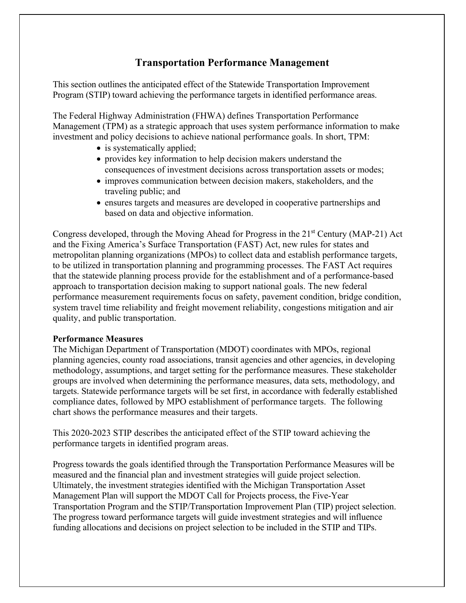## **Transportation Performance Management**

This section outlines the anticipated effect of the Statewide Transportation Improvement Program (STIP) toward achieving the performance targets in identified performance areas.

The Federal Highway Administration (FHWA) defines Transportation Performance Management (TPM) as a strategic approach that uses system performance information to make investment and policy decisions to achieve national performance goals. In short, TPM:

- is systematically applied;
- provides key information to help decision makers understand the consequences of investment decisions across transportation assets or modes;
- improves communication between decision makers, stakeholders, and the traveling public; and
- ensures targets and measures are developed in cooperative partnerships and based on data and objective information.

Congress developed, through the Moving Ahead for Progress in the 21<sup>st</sup> Century (MAP-21) Act and the Fixing America's Surface Transportation (FAST) Act, new rules for states and metropolitan planning organizations (MPOs) to collect data and establish performance targets, to be utilized in transportation planning and programming processes. The FAST Act requires that the statewide planning process provide for the establishment and of a performance-based approach to transportation decision making to support national goals. The new federal performance measurement requirements focus on safety, pavement condition, bridge condition, system travel time reliability and freight movement reliability, congestions mitigation and air quality, and public transportation.

## **Performance Measures**

The Michigan Department of Transportation (MDOT) coordinates with MPOs, regional planning agencies, county road associations, transit agencies and other agencies, in developing methodology, assumptions, and target setting for the performance measures. These stakeholder groups are involved when determining the performance measures, data sets, methodology, and targets. Statewide performance targets will be set first, in accordance with federally established compliance dates, followed by MPO establishment of performance targets. The following chart shows the performance measures and their targets.

This 2020-2023 STIP describes the anticipated effect of the STIP toward achieving the performance targets in identified program areas.

Progress towards the goals identified through the Transportation Performance Measures will be measured and the financial plan and investment strategies will guide project selection. Ultimately, the investment strategies identified with the Michigan Transportation Asset Management Plan will support the MDOT Call for Projects process, the Five-Year Transportation Program and the STIP/Transportation Improvement Plan (TIP) project selection. The progress toward performance targets will guide investment strategies and will influence funding allocations and decisions on project selection to be included in the STIP and TIPs.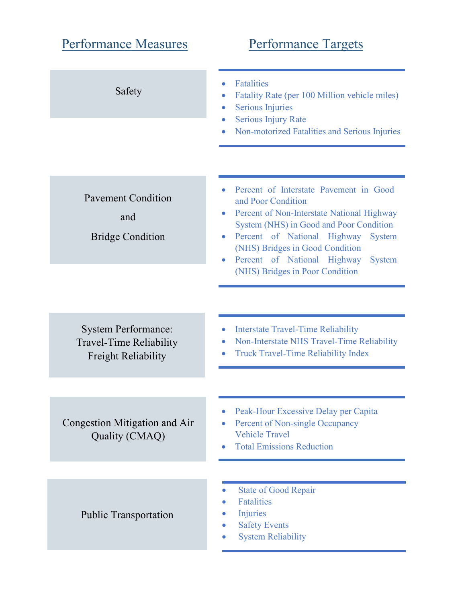| <b>Performance Measures</b>                                                                | <b>Performance Targets</b>                                                                                                                                                                                                                                                                                                               |  |  |
|--------------------------------------------------------------------------------------------|------------------------------------------------------------------------------------------------------------------------------------------------------------------------------------------------------------------------------------------------------------------------------------------------------------------------------------------|--|--|
| Safety                                                                                     | <b>Fatalities</b><br>Fatality Rate (per 100 Million vehicle miles)<br><b>Serious Injuries</b><br>$\bullet$<br><b>Serious Injury Rate</b><br>Non-motorized Fatalities and Serious Injuries                                                                                                                                                |  |  |
|                                                                                            |                                                                                                                                                                                                                                                                                                                                          |  |  |
| <b>Pavement Condition</b><br>and<br><b>Bridge Condition</b>                                | Percent of Interstate Pavement in Good<br>and Poor Condition<br>Percent of Non-Interstate National Highway<br>System (NHS) in Good and Poor Condition<br>Percent of National Highway<br><b>System</b><br>$\bullet$<br>(NHS) Bridges in Good Condition<br>Percent of National Highway<br><b>System</b><br>(NHS) Bridges in Poor Condition |  |  |
|                                                                                            |                                                                                                                                                                                                                                                                                                                                          |  |  |
| <b>System Performance:</b><br><b>Travel-Time Reliability</b><br><b>Freight Reliability</b> | <b>Interstate Travel-Time Reliability</b><br>$\bullet$<br>Non-Interstate NHS Travel-Time Reliability<br><b>Truck Travel-Time Reliability Index</b>                                                                                                                                                                                       |  |  |
|                                                                                            |                                                                                                                                                                                                                                                                                                                                          |  |  |
| Congestion Mitigation and Air<br>Quality (CMAQ)                                            | Peak-Hour Excessive Delay per Capita<br>Percent of Non-single Occupancy<br><b>Vehicle Travel</b><br><b>Total Emissions Reduction</b>                                                                                                                                                                                                     |  |  |
|                                                                                            |                                                                                                                                                                                                                                                                                                                                          |  |  |
| <b>Public Transportation</b>                                                               | <b>State of Good Repair</b><br><b>Fatalities</b><br>Injuries<br><b>Safety Events</b><br><b>System Reliability</b>                                                                                                                                                                                                                        |  |  |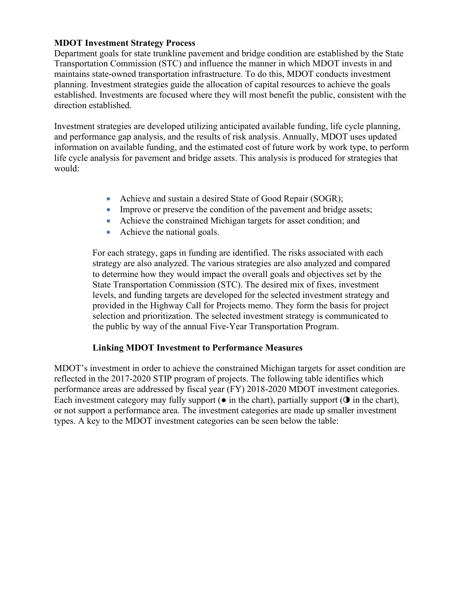## **MDOT Investment Strategy Process**

Department goals for state trunkline pavement and bridge condition are established by the State Transportation Commission (STC) and influence the manner in which MDOT invests in and maintains state-owned transportation infrastructure. To do this, MDOT conducts investment planning. Investment strategies guide the allocation of capital resources to achieve the goals established. Investments are focused where they will most benefit the public, consistent with the direction established.

Investment strategies are developed utilizing anticipated available funding, life cycle planning, and performance gap analysis, and the results of risk analysis. Annually, MDOT uses updated information on available funding, and the estimated cost of future work by work type, to perform life cycle analysis for pavement and bridge assets. This analysis is produced for strategies that would:

- Achieve and sustain a desired State of Good Repair (SOGR);
- Improve or preserve the condition of the pavement and bridge assets;
- Achieve the constrained Michigan targets for asset condition; and
- Achieve the national goals.

For each strategy, gaps in funding are identified. The risks associated with each strategy are also analyzed. The various strategies are also analyzed and compared to determine how they would impact the overall goals and objectives set by the State Transportation Commission (STC). The desired mix of fixes, investment levels, and funding targets are developed for the selected investment strategy and provided in the Highway Call for Projects memo. They form the basis for project selection and prioritization. The selected investment strategy is communicated to the public by way of the annual Five-Year Transportation Program.

## **Linking MDOT Investment to Performance Measures**

MDOT's investment in order to achieve the constrained Michigan targets for asset condition are reflected in the 2017-2020 STIP program of projects. The following table identifies which performance areas are addressed by fiscal year (FY) 2018-2020 MDOT investment categories. Each investment category may fully support  $\bullet$  in the chart), partially support  $\bullet$  in the chart), or not support a performance area. The investment categories are made up smaller investment types. A key to the MDOT investment categories can be seen below the table: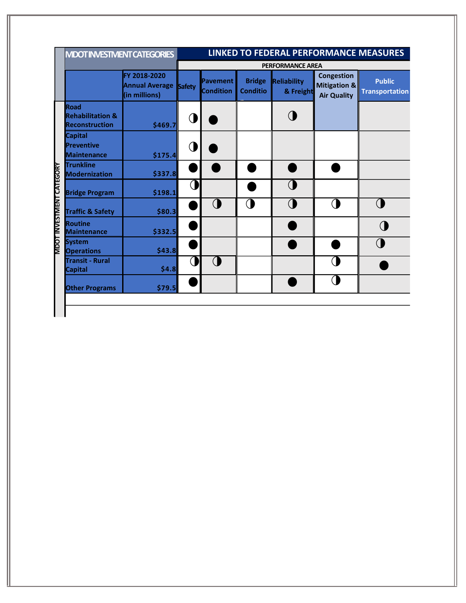|                                 | <b>MDOT INVESTIVIENT CATEGORIES</b>                                 |                                                        | LINKED TO FEDERAL PERFORMANCE MEASURES |                              |                                  |                          |                                                         |                                        |
|---------------------------------|---------------------------------------------------------------------|--------------------------------------------------------|----------------------------------------|------------------------------|----------------------------------|--------------------------|---------------------------------------------------------|----------------------------------------|
|                                 |                                                                     |                                                        | <b>PERFORMANCE AREA</b>                |                              |                                  |                          |                                                         |                                        |
|                                 |                                                                     | FY 2018-2020<br>Annual Average Safety<br>(in millions) |                                        | Pavement<br><b>Condition</b> | <b>Bridge</b><br><b>Conditio</b> | Reliability<br>& Freight | <b>Congestion</b><br>Mitigation &<br><b>Air Quality</b> | <b>Public</b><br><b>Transportation</b> |
|                                 | <b>Road</b><br><b>Rehabilitation &amp;</b><br><b>Reconstruction</b> | \$469.7                                                | ◑                                      |                              |                                  |                          |                                                         |                                        |
|                                 | <b>Capital</b><br>Preventive<br><b>Maintenance</b>                  | \$175.4                                                | ()                                     |                              |                                  |                          |                                                         |                                        |
|                                 | <b>Trunkline</b><br>Modernization                                   | \$337.8                                                |                                        |                              |                                  |                          |                                                         |                                        |
|                                 | <b>Bridge Program</b>                                               | \$198.1                                                | $\mathcal \Omega$                      |                              |                                  |                          |                                                         |                                        |
| <b>MDOT INVESTMENT CATEGORY</b> | <b>Traffic &amp; Safety</b>                                         | \$80.3                                                 |                                        | $\bigcirc$                   | $\bigcap$                        |                          | $\overline{ }$                                          | $\bigcap$                              |
|                                 | <b>Routine</b><br><b>Maintenance</b>                                | \$332.5                                                |                                        |                              |                                  |                          |                                                         |                                        |
|                                 | System<br><b>Operations</b>                                         | \$43.8                                                 |                                        |                              |                                  |                          |                                                         |                                        |
|                                 | <b>Transit - Rural</b><br><b>Capital</b>                            | \$4.8]                                                 | C                                      | ◑                            |                                  |                          |                                                         |                                        |
|                                 | <b>Other Programs</b>                                               | \$79.5                                                 |                                        |                              |                                  |                          |                                                         |                                        |
|                                 |                                                                     |                                                        |                                        |                              |                                  |                          |                                                         |                                        |